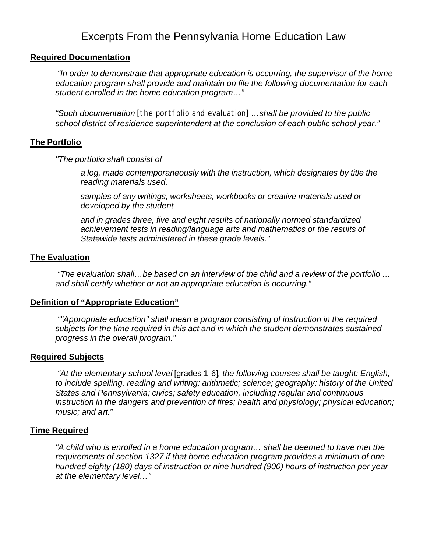# Excerpts From the Pennsylvania Home Education Law

# **Required Documentation**

 *"In order to demonstrate that appropriate education is occurring, the supervisor of the home education program shall provide and maintain on file the following documentation for each student enrolled in the home education program…"*

*"Such documentation* [the portfolio and evaluation] *…shall be provided to the public school district of residence superintendent at the conclusion of each public school year."*

# **The Portfolio**

*"The portfolio shall consist of* 

*a log, made contemporaneously with the instruction, which designates by title the reading materials used,* 

*samples of any writings, worksheets, workbooks or creative materials used or developed by the student* 

*and in grades three, five and eight results of nationally normed standardized achievement tests in reading/language arts and mathematics or the results of Statewide tests administered in these grade levels."*

# **The Evaluation**

 *"The evaluation shall…be based on an interview of the child and a review of the portfolio … and shall certify whether or not an appropriate education is occurring."* 

# **Definition of "Appropriate Education"**

 *""Appropriate education" shall mean a program consisting of instruction in the required subjects for the time required in this act and in which the student demonstrates sustained progress in the overall program."*

# **Required Subjects**

 *"At the elementary school level* [grades 1-6]*, the following courses shall be taught: English, to include spelling, reading and writing; arithmetic; science; geography; history of the United States and Pennsylvania; civics; safety education, including regular and continuous instruction in the dangers and prevention of fires; health and physiology; physical education; music; and art."*

# **Time Required**

*"A child who is enrolled in a home education program… shall be deemed to have met the requirements of section 1327 if that home education program provides a minimum of one hundred eighty (180) days of instruction or nine hundred (900) hours of instruction per year at the elementary level…"*